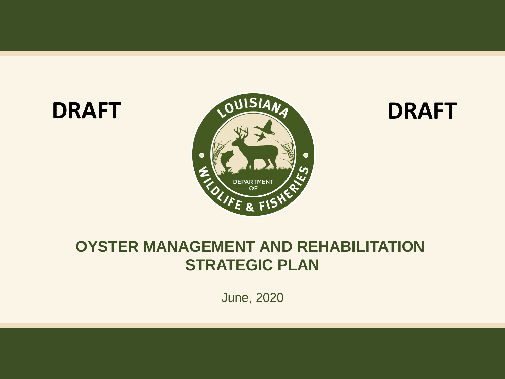

#### **OYSTER MANAGEMENT AND REHABILITATION STRATEGIC PLAN**

June, 2020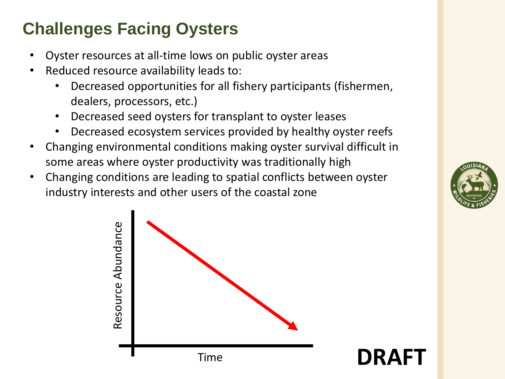## **Challenges Facing Oysters**

- Oyster resources at all-time lows on public oyster areas
- Reduced resource availability leads to:
	- Decreased opportunities for all fishery participants (fishermen, dealers, processors, etc.)
	- Decreased seed oysters for transplant to oyster leases
	- Decreased ecosystem services provided by healthy oyster reefs
- Changing environmental conditions making oyster survival difficult in some areas where oyster productivity was traditionally high
- Changing conditions are leading to spatial conflicts between oyster industry interests and other users of the coastal zone



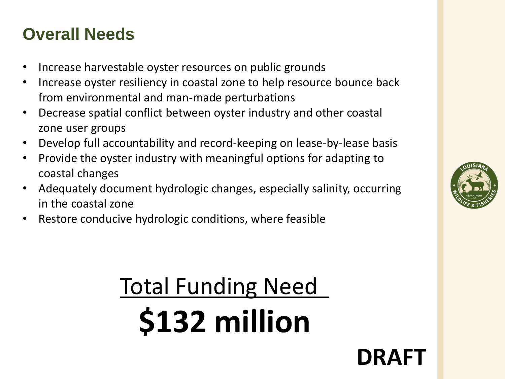### **Overall Needs**

- Increase harvestable oyster resources on public grounds
- Increase oyster resiliency in coastal zone to help resource bounce back from environmental and man-made perturbations
- Decrease spatial conflict between oyster industry and other coastal zone user groups
- Develop full accountability and record-keeping on lease-by-lease basis
- Provide the oyster industry with meaningful options for adapting to coastal changes
- Adequately document hydrologic changes, especially salinity, occurring in the coastal zone
- Restore conducive hydrologic conditions, where feasible

# Total Funding Need **\$132 million**

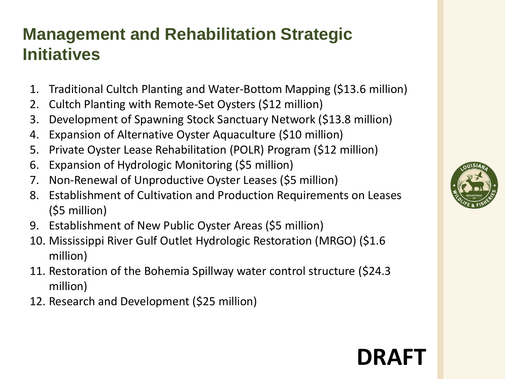### **Management and Rehabilitation Strategic Initiatives**

- 1. Traditional Cultch Planting and Water-Bottom Mapping (\$13.6 million)
- 2. Cultch Planting with Remote-Set Oysters (\$12 million)
- 3. Development of Spawning Stock Sanctuary Network (\$13.8 million)
- 4. Expansion of Alternative Oyster Aquaculture (\$10 million)
- 5. Private Oyster Lease Rehabilitation (POLR) Program (\$12 million)
- 6. Expansion of Hydrologic Monitoring (\$5 million)
- 7. Non-Renewal of Unproductive Oyster Leases (\$5 million)
- 8. Establishment of Cultivation and Production Requirements on Leases (\$5 million)
- 9. Establishment of New Public Oyster Areas (\$5 million)
- 10. Mississippi River Gulf Outlet Hydrologic Restoration (MRGO) (\$1.6 million)
- 11. Restoration of the Bohemia Spillway water control structure (\$24.3 million)
- 12. Research and Development (\$25 million)

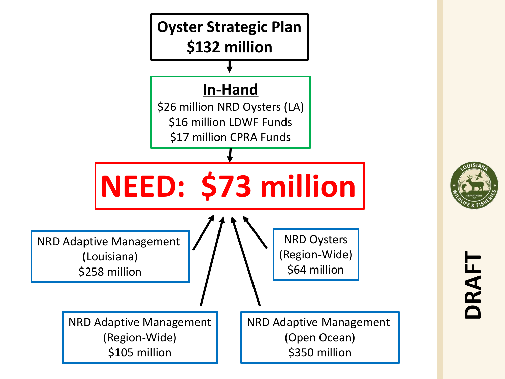